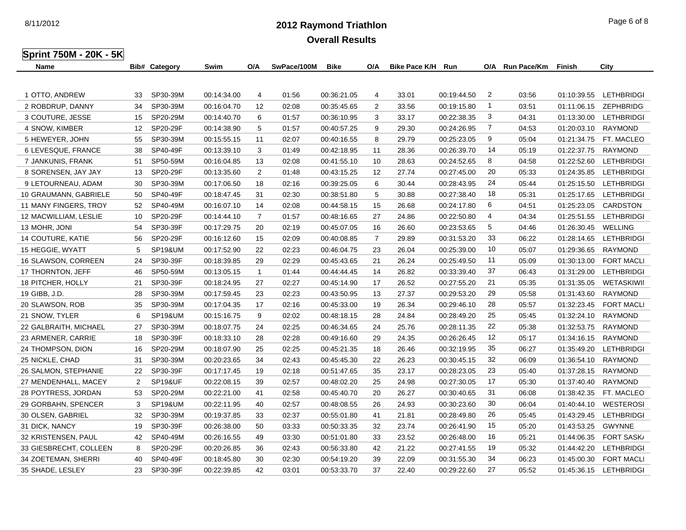8/11/2012

**Overall Results**

| 2012 Raymond Triathlon | Page 6 of 8 |
|------------------------|-------------|
|------------------------|-------------|

| <b>Sprint 750M - 20K - 5K</b> |  |  |
|-------------------------------|--|--|

| Name                   |                | <b>Bib# Category</b> | Swim        | O/A            | SwPace/100M | <b>Bike</b> | O/A            | <b>Bike Pace K/H</b> | Run         |                | O/A Run Pace/Km | Finish      | City              |
|------------------------|----------------|----------------------|-------------|----------------|-------------|-------------|----------------|----------------------|-------------|----------------|-----------------|-------------|-------------------|
|                        |                |                      |             |                |             |             |                |                      |             |                |                 |             |                   |
| 1 OTTO, ANDREW         | 33             | SP30-39M             | 00:14:34.00 | 4              | 01:56       | 00:36:21.05 | 4              | 33.01                | 00:19:44.50 | $\overline{2}$ | 03:56           | 01:10:39.55 | <b>LETHBRIDGI</b> |
| 2 ROBDRUP, DANNY       | 34             | SP30-39M             | 00:16:04.70 | 12             | 02:08       | 00:35:45.65 | $\overline{2}$ | 33.56                | 00:19:15.80 | $\overline{1}$ | 03:51           | 01:11:06.15 | <b>ZEPHBRIDGI</b> |
| 3 COUTURE, JESSE       | 15             | SP20-29M             | 00:14:40.70 | 6              | 01:57       | 00:36:10.95 | 3              | 33.17                | 00:22:38.35 | 3              | 04:31           | 01:13:30.00 | LETHBRIDGI        |
| 4 SNOW, KIMBER         | 12             | SP20-29F             | 00:14:38.90 | 5              | 01:57       | 00:40:57.25 | 9              | 29.30                | 00:24:26.95 | 7              | 04:53           | 01:20:03.10 | RAYMOND           |
| 5 HEWEYER, JOHN        | 55             | SP30-39M             | 00:15:55.15 | 11             | 02:07       | 00:40:16.55 | 8              | 29.79                | 00:25:23.05 | 9              | 05:04           | 01:21:34.75 | FT. MACLEO        |
| 6 LEVESQUE, FRANCE     | 38             | SP40-49F             | 00:13:39.10 | 3              | 01:49       | 00:42:18.95 | 11             | 28.36                | 00:26:39.70 | 14             | 05:19           | 01:22:37.75 | RAYMOND           |
| 7 JANKUNIS, FRANK      | 51             | SP50-59M             | 00:16:04.85 | 13             | 02:08       | 00:41:55.10 | 10             | 28.63                | 00:24:52.65 | 8              | 04:58           | 01:22:52.60 | LETHBRIDGI        |
| 8 SORENSEN, JAY JAY    | 13             | SP20-29F             | 00:13:35.60 | 2              | 01:48       | 00:43:15.25 | 12             | 27.74                | 00:27:45.00 | 20             | 05:33           | 01:24:35.85 | LETHBRIDGI        |
| 9 LETOURNEAU, ADAM     | 30             | SP30-39M             | 00:17:06.50 | 18             | 02:16       | 00:39:25.05 | 6              | 30.44                | 00:28:43.95 | 24             | 05:44           | 01:25:15.50 | LETHBRIDGI        |
| 10 GRAUMANN, GABRIELE  | 50             | SP40-49F             | 00:18:47.45 | 31             | 02:30       | 00:38:51.80 | 5              | 30.88                | 00:27:38.40 | 18             | 05:31           | 01:25:17.65 | <b>LETHBRIDGI</b> |
| 11 MANY FINGERS, TROY  | 52             | SP40-49M             | 00:16:07.10 | 14             | 02:08       | 00:44:58.15 | 15             | 26.68                | 00:24:17.80 | 6              | 04:51           | 01:25:23.05 | CARDSTON          |
| 12 MACWILLIAM, LESLIE  | 10             | SP20-29F             | 00:14:44.10 | $\overline{7}$ | 01:57       | 00:48:16.65 | 27             | 24.86                | 00:22:50.80 | 4              | 04:34           | 01:25:51.55 | <b>LETHBRIDGI</b> |
| 13 MOHR, JONI          | 54             | SP30-39F             | 00:17:29.75 | 20             | 02:19       | 00:45:07.05 | 16             | 26.60                | 00:23:53.65 | 5              | 04:46           | 01:26:30.45 | <b>WELLING</b>    |
| 14 COUTURE, KATIE      | 56             | SP20-29F             | 00:16:12.60 | 15             | 02:09       | 00:40:08.85 | $\overline{7}$ | 29.89                | 00:31:53.20 | 33             | 06:22           | 01:28:14.65 | <b>LETHBRIDGI</b> |
| 15 HEGGIE, WYATT       | 5              | <b>SP19&amp;UM</b>   | 00:17:52.90 | 22             | 02:23       | 00:46:04.75 | 23             | 26.04                | 00:25:39.00 | 10             | 05:07           | 01:29:36.65 | <b>RAYMOND</b>    |
| 16 SLAWSON, CORREEN    | 24             | SP30-39F             | 00:18:39.85 | 29             | 02:29       | 00:45:43.65 | 21             | 26.24                | 00:25:49.50 | 11             | 05:09           | 01:30:13.00 | <b>FORT MACLI</b> |
| 17 THORNTON, JEFF      | 46             | SP50-59M             | 00:13:05.15 | $\overline{1}$ | 01:44       | 00:44:44.45 | 14             | 26.82                | 00:33:39.40 | 37             | 06:43           | 01:31:29.00 | <b>LETHBRIDGI</b> |
| 18 PITCHER, HOLLY      | 21             | SP30-39F             | 00:18:24.95 | 27             | 02:27       | 00:45:14.90 | 17             | 26.52                | 00:27:55.20 | 21             | 05:35           | 01:31:35.05 | WETASKIWII        |
| 19 GIBB, J.D.          | 28             | SP30-39M             | 00:17:59.45 | 23             | 02:23       | 00:43:50.95 | 13             | 27.37                | 00:29:53.20 | 29             | 05:58           | 01:31:43.60 | <b>RAYMOND</b>    |
| 20 SLAWSON, ROB        | 35             | SP30-39M             | 00:17:04.35 | 17             | 02:16       | 00:45:33.00 | 19             | 26.34                | 00:29:46.10 | 28             | 05:57           | 01:32:23.45 | <b>FORT MACLI</b> |
| 21 SNOW, TYLER         | 6              | <b>SP19&amp;UM</b>   | 00:15:16.75 | 9              | 02:02       | 00:48:18.15 | 28             | 24.84                | 00:28:49.20 | 25             | 05:45           | 01:32:24.10 | <b>RAYMOND</b>    |
| 22 GALBRAITH, MICHAEL  | 27             | SP30-39M             | 00:18:07.75 | 24             | 02:25       | 00:46:34.65 | 24             | 25.76                | 00:28:11.35 | 22             | 05:38           | 01:32:53.75 | <b>RAYMOND</b>    |
| 23 ARMENER, CARRIE     | 18             | SP30-39F             | 00:18:33.10 | 28             | 02:28       | 00:49:16.60 | 29             | 24.35                | 00:26:26.45 | 12             | 05:17           | 01:34:16.15 | RAYMOND           |
| 24 THOMPSON, DION      | 16             | SP20-29M             | 00:18:07.90 | 25             | 02:25       | 00:45:21.35 | 18             | 26.46                | 00:32:19.95 | 35             | 06:27           | 01:35:49.20 | <b>LETHBRIDGI</b> |
| 25 NICKLE, CHAD        | 31             | SP30-39M             | 00:20:23.65 | 34             | 02:43       | 00:45:45.30 | 22             | 26.23                | 00:30:45.15 | 32             | 06:09           | 01:36:54.10 | <b>RAYMOND</b>    |
| 26 SALMON, STEPHANIE   | 22             | SP30-39F             | 00:17:17.45 | 19             | 02:18       | 00:51:47.65 | 35             | 23.17                | 00:28:23.05 | 23             | 05:40           | 01:37:28.15 | <b>RAYMOND</b>    |
| 27 MENDENHALL, MACEY   | $\overline{2}$ | <b>SP19&amp;UF</b>   | 00:22:08.15 | 39             | 02:57       | 00:48:02.20 | 25             | 24.98                | 00:27:30.05 | 17             | 05:30           | 01:37:40.40 | <b>RAYMOND</b>    |
| 28 POYTRESS, JORDAN    | 53             | SP20-29M             | 00:22:21.00 | 41             | 02:58       | 00:45:40.70 | 20             | 26.27                | 00:30:40.65 | 31             | 06:08           | 01:38:42.35 | FT. MACLEO        |
| 29 GORBAHN, SPENCER    | 3              | <b>SP19&amp;UM</b>   | 00:22:11.95 | 40             | 02:57       | 00:48:08.55 | 26             | 24.93                | 00:30:23.60 | 30             | 06:04           | 01:40:44.10 | <b>WESTEROSI</b>  |
| 30 OLSEN, GABRIEL      | 32             | SP30-39M             | 00:19:37.85 | 33             | 02:37       | 00:55:01.80 | 41             | 21.81                | 00:28:49.80 | 26             | 05:45           | 01:43:29.45 | <b>LETHBRIDGI</b> |
| 31 DICK, NANCY         | 19             | SP30-39F             | 00:26:38.00 | 50             | 03:33       | 00:50:33.35 | 32             | 23.74                | 00:26:41.90 | 15             | 05:20           | 01:43:53.25 | <b>GWYNNE</b>     |
| 32 KRISTENSEN, PAUL    | 42             | SP40-49M             | 00:26:16.55 | 49             | 03:30       | 00:51:01.80 | 33             | 23.52                | 00:26:48.00 | 16             | 05:21           | 01:44:06.35 | <b>FORT SASK/</b> |
| 33 GIESBRECHT, COLLEEN | 8              | SP20-29F             | 00:20:26.85 | 36             | 02:43       | 00:56:33.80 | 42             | 21.22                | 00:27:41.55 | 19             | 05:32           | 01:44:42.20 | LETHBRIDGI        |
| 34 ZOETEMAN, SHERRI    | 40             | SP40-49F             | 00:18:45.80 | 30             | 02:30       | 00:54:19.20 | 39             | 22.09                | 00:31:55.30 | 34             | 06:23           | 01:45:00.30 | <b>FORT MACLI</b> |
| 35 SHADE, LESLEY       | 23             | SP30-39F             | 00:22:39.85 | 42             | 03:01       | 00:53:33.70 | 37             | 22.40                | 00:29:22.60 | 27             | 05:52           | 01:45:36.15 | LETHBRIDGI        |